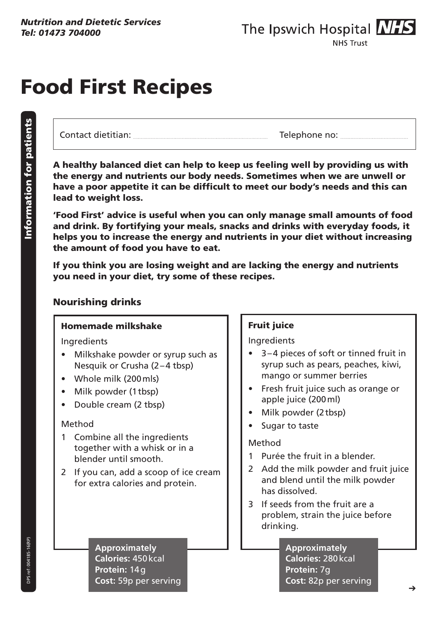# Food First Recipes

Contact dietitian: Telephone no:

A healthy balanced diet can help to keep us feeling well by providing us with the energy and nutrients our body needs. Sometimes when we are unwell or have a poor appetite it can be difficult to meet our body's needs and this can lead to weight loss.

'Food First' advice is useful when you can only manage small amounts of food and drink. By fortifying your meals, snacks and drinks with everyday foods, it helps you to increase the energy and nutrients in your diet without increasing the amount of food you have to eat.

If you think you are losing weight and are lacking the energy and nutrients you need in your diet, try some of these recipes.

#### Nourishing drinks

#### Homemade milkshake

**Ingredients** 

- Milkshake powder or syrup such as Nesquik or Crusha (2–4 tbsp)
- Whole milk (200 mls)
- Milk powder (1tbsp)
- Double cream (2 tbsp)

#### Method

- 1 Combine all the ingredients together with a whisk or in a blender until smooth.
- 2 If you can, add a scoop of ice cream for extra calories and protein.

#### **Approximately Calories:** 450kcal **Protein:** 14g **Cost:** 59p per serving

#### Fruit juice

Ingredients

- 3-4 pieces of soft or tinned fruit in syrup such as pears, peaches, kiwi, mango or summer berries
- Fresh fruit juice such as orange or apple juice (200ml)
- Milk powder (2tbsp)
- • Sugar to taste

#### Method

- 1 Purée the fruit in a blender.
- 2 Add the milk powder and fruit juice and blend until the milk powder has dissolved.
- 3 If seeds from the fruit are a problem, strain the juice before drinking.

**Approximately Calories:** 280kcal **Protein:** 7g **Cost:** 82p per serving

DPS ref: 004185-16(RP) DPS ref: 004185-16(RP)